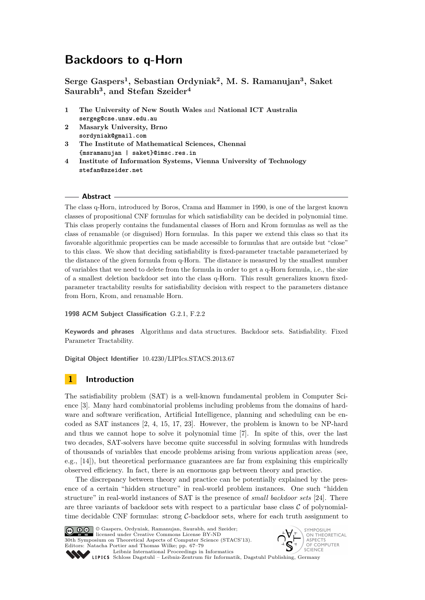**Serge Gaspers<sup>1</sup> , Sebastian Ordyniak<sup>2</sup> , M. S. Ramanujan<sup>3</sup> , Saket Saurabh<sup>3</sup> , and Stefan Szeider<sup>4</sup>**

- **1 The University of New South Wales** and **National ICT Australia sergeg@cse.unsw.edu.au**
- **2 Masaryk University, Brno sordyniak@gmail.com**
- **3 The Institute of Mathematical Sciences, Chennai {msramanujan | saket}@imsc.res.in**
- **4 Institute of Information Systems, Vienna University of Technology stefan@szeider.net**

#### **Abstract**

The class q-Horn, introduced by Boros, Crama and Hammer in 1990, is one of the largest known classes of propositional CNF formulas for which satisfiability can be decided in polynomial time. This class properly contains the fundamental classes of Horn and Krom formulas as well as the class of renamable (or disguised) Horn formulas. In this paper we extend this class so that its favorable algorithmic properties can be made accessible to formulas that are outside but "close" to this class. We show that deciding satisfiability is fixed-parameter tractable parameterized by the distance of the given formula from q-Horn. The distance is measured by the smallest number of variables that we need to delete from the formula in order to get a q-Horn formula, i.e., the size of a smallest deletion backdoor set into the class q-Horn. This result generalizes known fixedparameter tractability results for satisfiability decision with respect to the parameters distance from Horn, Krom, and renamable Horn.

#### **1998 ACM Subject Classification** G.2.1, F.2.2

**Keywords and phrases** Algorithms and data structures. Backdoor sets. Satisfiability. Fixed Parameter Tractability.

**Digital Object Identifier** [10.4230/LIPIcs.STACS.2013.67](http://dx.doi.org/10.4230/LIPIcs.STACS.2013.67)

# **1 Introduction**

The satisfiability problem (SAT) is a well-known fundamental problem in Computer Science [\[3\]](#page-11-0). Many hard combinatorial problems including problems from the domains of hardware and software verification, Artificial Intelligence, planning and scheduling can be encoded as SAT instances [\[2,](#page-11-1) [4,](#page-11-2) [15,](#page-11-3) [17,](#page-11-4) [23\]](#page-12-0). However, the problem is known to be NP-hard and thus we cannot hope to solve it polynomial time [\[7\]](#page-11-5). In spite of this, over the last two decades, SAT-solvers have become quite successful in solving formulas with hundreds of thousands of variables that encode problems arising from various application areas (see, e.g., [\[14\]](#page-11-6)), but theoretical performance guarantees are far from explaining this empirically observed efficiency. In fact, there is an enormous gap between theory and practice.

The discrepancy between theory and practice can be potentially explained by the presence of a certain "hidden structure" in real-world problem instances. One such "hidden structure" in real-world instances of SAT is the presence of *small backdoor sets* [\[24\]](#page-12-1). There are three variants of backdoor sets with respect to a particular base class  $C$  of polynomialtime decidable CNF formulas: strong  $C$ -backdoor sets, where for each truth assignment to



© Gaspers, Ordyniak, Ramanujan, Saurabh, and Szeider; licensed under Creative Commons License BY-ND 30th Symposium on Theoretical Aspects of Computer Science (STACS'13). Editors: Natacha Portier and Thomas Wilke; pp. 67[–79](#page-12-2) [Leibniz International Proceedings in Informatics](http://www.dagstuhl.de/lipics/)



Leibniz international Froceedings in miximisity Dagstuhl Publishing, Germany<br>LIPICS [Schloss Dagstuhl – Leibniz-Zentrum für Informatik, Dagstuhl Publishing, Germany](http://www.dagstuhl.de)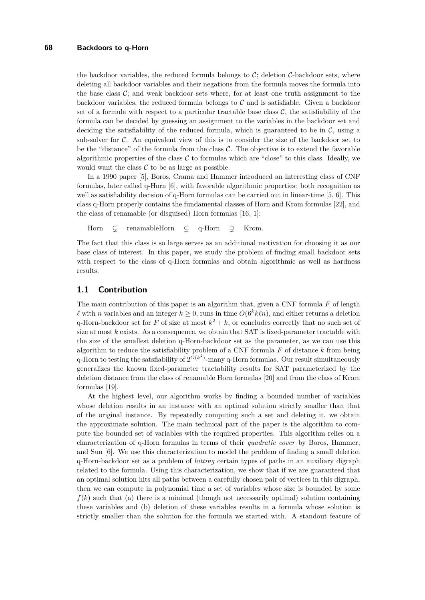the backdoor variables, the reduced formula belongs to  $C$ ; deletion  $C$ -backdoor sets, where deleting all backdoor variables and their negations from the formula moves the formula into the base class  $\mathcal{C}$ ; and weak backdoor sets where, for at least one truth assignment to the backdoor variables, the reduced formula belongs to  $\mathcal C$  and is satisfiable. Given a backdoor set of a formula with respect to a particular tractable base class  $C$ , the satisfiability of the formula can be decided by guessing an assignment to the variables in the backdoor set and deciding the satisfiability of the reduced formula, which is guaranteed to be in  $\mathcal{C}$ , using a sub-solver for  $\mathcal{C}$ . An equivalent view of this is to consider the size of the backdoor set to be the "distance" of the formula from the class  $C$ . The objective is to extend the favorable algorithmic properties of the class  $\mathcal C$  to formulas which are "close" to this class. Ideally, we would want the class  $C$  to be as large as possible.

In a 1990 paper [\[5\]](#page-11-7), Boros, Crama and Hammer introduced an interesting class of CNF formulas, later called q-Horn [\[6\]](#page-11-8), with favorable algorithmic properties: both recognition as well as satisfiability decision of q-Horn formulas can be carried out in linear-time [\[5,](#page-11-7) [6\]](#page-11-8). This class q-Horn properly contains the fundamental classes of Horn and Krom formulas [\[22\]](#page-12-3), and the class of renamable (or disguised) Horn formulas [\[16,](#page-11-9) [1\]](#page-11-10):

Horn  $\subsetneq$  renamableHorn  $\subsetneq$  q-Horn  $\supsetneq$  Krom.

The fact that this class is so large serves as an additional motivation for choosing it as our base class of interest. In this paper, we study the problem of finding small backdoor sets with respect to the class of q-Horn formulas and obtain algorithmic as well as hardness results.

## **1.1 Contribution**

The main contribution of this paper is an algorithm that, given a CNF formula *F* of length  $\ell$  with *n* variables and an integer  $k \geq 0$ , runs in time  $O(6^k k \ell n)$ , and either returns a deletion q-Horn-backdoor set for *F* of size at most  $k^2 + k$ , or concludes correctly that no such set of size at most *k* exists. As a consequence, we obtain that SAT is fixed-parameter tractable with the size of the smallest deletion q-Horn-backdoor set as the parameter, as we can use this algorithm to reduce the satisfiability problem of a CNF formula *F* of distance *k* from being  $q$ -Horn to testing the satsfiability of  $2^{O(k^2)}$ -many  $q$ -Horn formulas. Our result simultaneously generalizes the known fixed-parameter tractability results for SAT parameterized by the deletion distance from the class of renamable Horn formulas [\[20\]](#page-12-4) and from the class of Krom formulas [\[19\]](#page-12-5).

At the highest level, our algorithm works by finding a bounded number of variables whose deletion results in an instance with an optimal solution strictly smaller than that of the original instance. By repeatedly computing such a set and deleting it, we obtain the approximate solution. The main technical part of the paper is the algorithm to compute the bounded set of variables with the required properties. This algorithm relies on a characterization of q-Horn formulas in terms of their *quadratic cover* by Boros, Hammer, and Sun [\[6\]](#page-11-8). We use this characterization to model the problem of finding a small deletion q-Horn-backdoor set as a problem of *hitting* certain types of paths in an auxiliary digraph related to the formula. Using this characterization, we show that if we are guaranteed that an optimal solution hits all paths between a carefully chosen pair of vertices in this digraph, then we can compute in polynomial time a set of variables whose size is bounded by some  $f(k)$  such that (a) there is a minimal (though not necessarily optimal) solution containing these variables and (b) deletion of these variables results in a formula whose solution is strictly smaller than the solution for the formula we started with. A standout feature of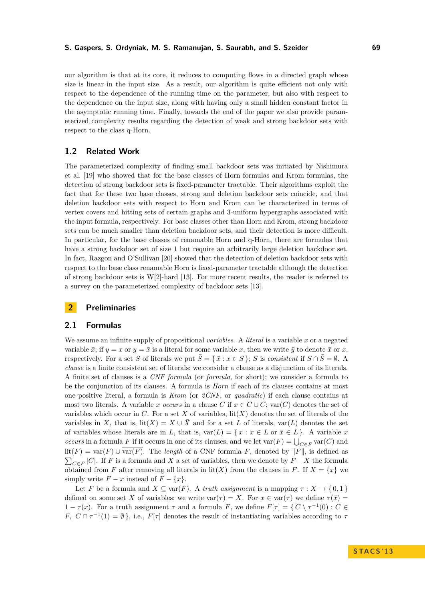our algorithm is that at its core, it reduces to computing flows in a directed graph whose size is linear in the input size. As a result, our algorithm is quite efficient not only with respect to the dependence of the running time on the parameter, but also with respect to the dependence on the input size, along with having only a small hidden constant factor in the asymptotic running time. Finally, towards the end of the paper we also provide parameterized complexity results regarding the detection of weak and strong backdoor sets with respect to the class q-Horn.

# **1.2 Related Work**

The parameterized complexity of finding small backdoor sets was initiated by Nishimura et al. [\[19\]](#page-12-5) who showed that for the base classes of Horn formulas and Krom formulas, the detection of strong backdoor sets is fixed-parameter tractable. Their algorithms exploit the fact that for these two base classes, strong and deletion backdoor sets coincide, and that deletion backdoor sets with respect to Horn and Krom can be characterized in terms of vertex covers and hitting sets of certain graphs and 3-uniform hypergraphs associated with the input formula, respectively. For base classes other than Horn and Krom, strong backdoor sets can be much smaller than deletion backdoor sets, and their detection is more difficult. In particular, for the base classes of renamable Horn and q-Horn, there are formulas that have a strong backdoor set of size 1 but require an arbitrarily large deletion backdoor set. In fact, Razgon and O'Sullivan [\[20\]](#page-12-4) showed that the detection of deletion backdoor sets with respect to the base class renamable Horn is fixed-parameter tractable although the detection of strong backdoor sets is W[2]-hard [\[13\]](#page-11-11). For more recent results, the reader is referred to a survey on the parameterized complexity of backdoor sets [\[13\]](#page-11-11).

# **2 Preliminaries**

# **2.1 Formulas**

We assume an infinite supply of propositional *variables*. A *literal* is a variable *x* or a negated variable  $\bar{x}$ ; if  $y = x$  or  $y = \bar{x}$  is a literal for some variable *x*, then we write  $\bar{y}$  to denote  $\bar{x}$  or *x*, respectively. For a set *S* of literals we put  $\overline{S} = {\overline{x} : x \in S}$ ; *S* is *consistent* if  $S \cap \overline{S} = \emptyset$ . A *clause* is a finite consistent set of literals; we consider a clause as a disjunction of its literals. A finite set of clauses is a *CNF formula* (or *formula*, for short); we consider a formula to be the conjunction of its clauses. A formula is *Horn* if each of its clauses contains at most one positive literal, a formula is *Krom* (or *2CNF*, or *quadratic*) if each clause contains at most two literals. A variable *x occurs* in a clause *C* if  $x \in C \cup \overline{C}$ ; var(*C*) denotes the set of variables which occur in  $C$ . For a set  $X$  of variables,  $\text{lit}(X)$  denotes the set of literals of the variables in *X*, that is,  $\text{lit}(X) = X \cup \overline{X}$  and for a set *L* of literals,  $\text{var}(L)$  denotes the set of variables whose literals are in *L*, that is,  $var(L) = \{x : x \in L \text{ or } \bar{x} \in L\}.$  A variable *x occurs* in a formula *F* if it occurs in one of its clauses, and we let  $var(F) = \bigcup_{C \in F} var(C)$  and lit(*F*) = var(*F*)  $\cup$  var(*F*). The *length* of a CNF formula *F*, denoted by |*F*||, is defined as  $\sum_{C \in F} |C|$ . If *F* is a formula and *X* a set of variables, then we denote by  $F - X$  the formula obtained from *F* after removing all literals in  $\text{lit}(X)$  from the clauses in *F*. If  $X = \{x\}$  we simply write  $F - x$  instead of  $F - \{x\}$ .

Let *F* be a formula and  $X \subseteq \text{var}(F)$ . A *truth assignment* is a mapping  $\tau : X \to \{0,1\}$ defined on some set X of variables; we write  $var(\tau) = X$ . For  $x \in var(\tau)$  we define  $\tau(\bar{x}) =$  $1 - \tau(x)$ . For a truth assignment  $\tau$  and a formula *F*, we define  $F[\tau] = \{ C \setminus \tau^{-1}(0) : C \in$ *F, C*  $\cap$   $\tau^{-1}(1) = \emptyset$ , i.e., *F*[*τ*] denotes the result of instantiating variables according to *τ*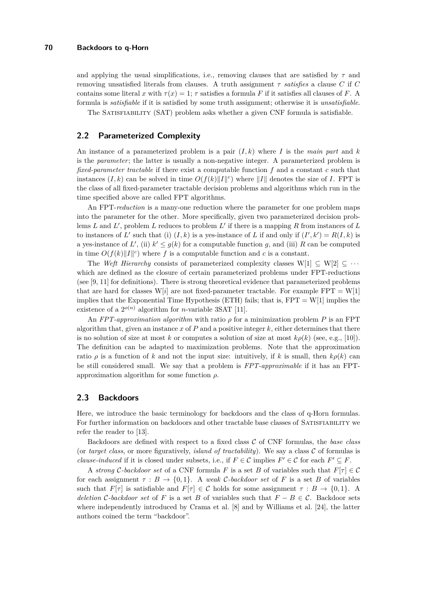and applying the usual simplifications, i.e., removing clauses that are satisfied by *τ* and removing unsatisfied literals from clauses. A truth assignment *τ satisfies* a clause *C* if *C* contains some literal *x* with  $\tau(x) = 1$ ;  $\tau$  satisfies a formula *F* if it satisfies all clauses of *F*. A formula is *satisfiable* if it is satisfied by some truth assignment; otherwise it is *unsatisfiable*.

The SATISFIABILITY (SAT) problem asks whether a given CNF formula is satisfiable.

#### **2.2 Parameterized Complexity**

An instance of a parameterized problem is a pair (*I, k*) where *I* is the *main part* and *k* is the *parameter*; the latter is usually a non-negative integer. A parameterized problem is *fixed-parameter tractable* if there exist a computable function *f* and a constant *c* such that instances  $(I, k)$  can be solved in time  $O(f(k) || I ||^c)$  where  $||I||$  denotes the size of *I*. FPT is the class of all fixed-parameter tractable decision problems and algorithms which run in the time specified above are called FPT algorithms.

An FPT-*reduction* is a many-one reduction where the parameter for one problem maps into the parameter for the other. More specifically, given two parameterized decision problems  $L$  and  $L'$ , problem  $L$  reduces to problem  $L'$  if there is a mapping  $R$  from instances of  $L$ to instances of L' such that (i)  $(I, k)$  is a yes-instance of L if and only if  $(I', k') = R(I, k)$  is a yes-instance of L', (ii)  $k' \leq g(k)$  for a computable function g, and (iii) R can be computed in time  $O(f(k)\|I\|^c)$  where f is a computable function and c is a constant.

The *Weft Hierarchy* consists of parameterized complexity classes W[1]  $\subset W[2] \subset \cdots$ which are defined as the closure of certain parameterized problems under FPT-reductions (see [\[9,](#page-11-12) [11\]](#page-11-13) for definitions). There is strong theoretical evidence that parameterized problems that are hard for classes  $W[i]$  are not fixed-parameter tractable. For example  $FPT = W[1]$ implies that the Exponential Time Hypothesis (ETH) fails; that is,  $FPT = W[1]$  implies the existence of a  $2^{o(n)}$  algorithm for *n*-variable 3SAT [\[11\]](#page-11-13).

An *FPT-approximation algorithm* with ratio *ρ* for a minimization problem *P* is an FPT algorithm that, given an instance  $x$  of  $P$  and a positive integer  $k$ , either determines that there is no solution of size at most *k* or computes a solution of size at most  $k\rho(k)$  (see, e.g., [\[10\]](#page-11-14)). The definition can be adapted to maximization problems. Note that the approximation ratio  $\rho$  is a function of  $k$  and not the input size: intuitively, if  $k$  is small, then  $k\rho(k)$  can be still considered small. We say that a problem is *FPT-approximable* if it has an FPTapproximation algorithm for some function *ρ*.

## **2.3 Backdoors**

Here, we introduce the basic terminology for backdoors and the class of q-Horn formulas. For further information on backdoors and other tractable base classes of SATISFIABILITY we refer the reader to [\[13\]](#page-11-11).

Backdoors are defined with respect to a fixed class C of CNF formulas, the *base class* (or *target class*, or more figuratively, *island of tractability*). We say a class  $C$  of formulas is *clause-induced* if it is closed under subsets, i.e., if  $F \in \mathcal{C}$  implies  $F' \in \mathcal{C}$  for each  $F' \subseteq F$ .

A *strong* C-backdoor set of a CNF formula F is a set B of variables such that  $F[\tau] \in \mathcal{C}$ for each assignment  $\tau : B \to \{0,1\}$ . A *weak C*-backdoor set of F is a set B of variables such that  $F[\tau]$  is satisfiable and  $F[\tau] \in \mathcal{C}$  holds for some assignment  $\tau : B \to \{0,1\}$ . *deletion* C-backdoor set of F is a set B of variables such that  $F - B \in \mathcal{C}$ . Backdoor sets where independently introduced by Crama et al. [\[8\]](#page-11-15) and by Williams et al. [\[24\]](#page-12-1), the latter authors coined the term "backdoor".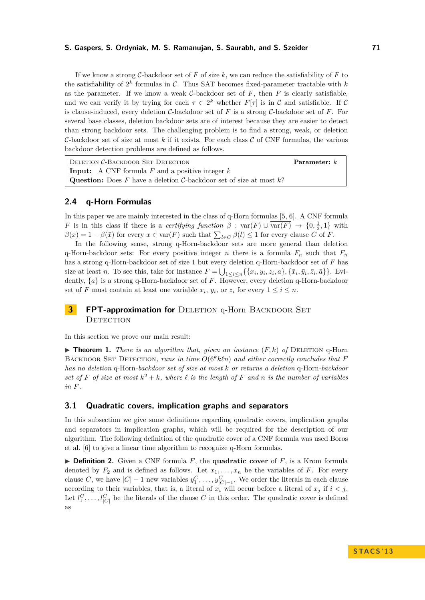If we know a strong  $C$ -backdoor set of  $F$  of size  $k$ , we can reduce the satisfiability of  $F$  to the satisfiability of  $2^k$  formulas in  $\mathcal{C}$ . Thus SAT becomes fixed-parameter tractable with  $k$ as the parameter. If we know a weak  $\mathcal{C}\text{-}$  backdoor set of  $F$ , then  $F$  is clearly satisfiable, and we can verify it by trying for each  $\tau \in 2^k$  whether  $F[\tau]$  is in C and satisfiable. If C is clause-induced, every deletion  $C$ -backdoor set of  $F$  is a strong  $C$ -backdoor set of  $F$ . For several base classes, deletion backdoor sets are of interest because they are easier to detect than strong backdoor sets. The challenging problem is to find a strong, weak, or deletion C-backdoor set of size at most  $k$  if it exists. For each class  $\mathcal C$  of CNF formulas, the various backdoor detection problems are defined as follows.

| DELETION C-BACKDOOR SET DETECTION                                         | <b>Parameter:</b> k |
|---------------------------------------------------------------------------|---------------------|
| <b>Input:</b> A CNF formula $F$ and a positive integer $k$                |                     |
| <b>Question:</b> Does F have a deletion C-backdoor set of size at most k? |                     |

## **2.4 q-Horn Formulas**

In this paper we are mainly interested in the class of q-Horn formulas [\[5,](#page-11-7) [6\]](#page-11-8). A CNF formula *F* is in this class if there is a *certifying function*  $\beta$  :  $var(F) \cup \overline{var(F)} \rightarrow \{0, \frac{1}{2}, 1\}$  with  $\beta(x) = 1 - \beta(\bar{x})$  for every  $x \in \text{var}(F)$  such that  $\sum_{l \in C} \beta(l) \leq 1$  for every clause *C* of *F*.

In the following sense, strong q-Horn-backdoor sets are more general than deletion q-Horn-backdoor sets: For every positive integer *n* there is a formula  $F_n$  such that  $F_n$ has a strong q-Horn-backdoor set of size 1 but every deletion q-Horn-backdoor set of *F* has size at least n. To see this, take for instance  $F = \bigcup_{1 \leq i \leq n} \{\{x_i, y_i, z_i, a\}, \{\bar{x}_i, \bar{y}_i, \bar{z}_i, \bar{a}\}\}\.$  Evidently, {*a*} is a strong q-Horn-backdoor set of *F*. However, every deletion q-Horn-backdoor set of *F* must contain at least one variable  $x_i$ ,  $y_i$ , or  $z_i$  for every  $1 \leq i \leq n$ .

# **3 FPT-approximation for** DELETION q-Horn BACKDOOR SET DETECTION

In this section we prove our main result:

<span id="page-4-0"></span> $\triangleright$  **Theorem 1.** *There is an algorithm that, given an instance*  $(F, k)$  *of* DELETION q-Horn BACKDOOR SET DETECTION, runs in time  $O(6^k k/n)$  and either correctly concludes that F *has no deletion* q-Horn*-backdoor set of size at most k or returns a deletion* q-Horn*-backdoor set of F of size at most*  $k^2 + k$ *, where*  $\ell$  *is the length of F and n is the number of variables in F.*

#### **3.1 Quadratic covers, implication graphs and separators**

In this subsection we give some definitions regarding quadratic covers, implication graphs and separators in implication graphs, which will be required for the description of our algorithm. The following definition of the quadratic cover of a CNF formula was used Boros et al. [\[6\]](#page-11-8) to give a linear time algorithm to recognize q-Horn formulas.

 $\triangleright$  **Definition 2.** Given a CNF formula *F*, the **quadratic cover** of *F*, is a Krom formula denoted by  $F_2$  and is defined as follows. Let  $x_1, \ldots, x_n$  be the variables of F. For every clause *C*, we have  $|C| - 1$  new variables  $y_1^C, \ldots, y_{|C|-1}^C$ . We order the literals in each clause according to their variables, that is, a literal of  $x_i$  will occur before a literal of  $x_j$  if  $i < j$ . Let  $l_1^C, \ldots, l_{|C|}^C$  be the literals of the clause *C* in this order. The quadratic cover is defined as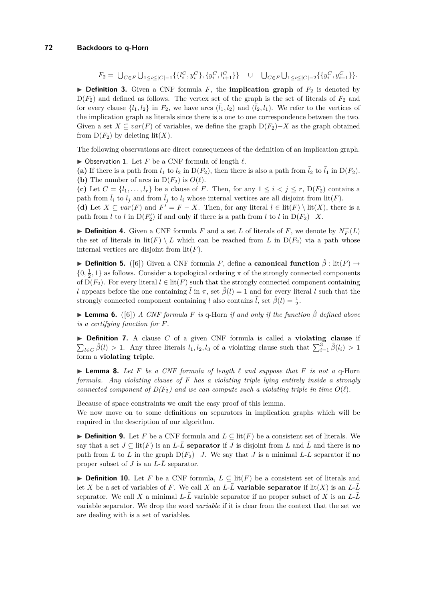$F_2 = \bigcup_{C \in F} \bigcup_{1 \leq i \leq |C|-1} \{\{l_i^C, y_i^C\}, \{\bar{y}_i^C, l_{i+1}^C\}\}$   $\cup$   $\bigcup_{C \in F} \bigcup_{1 \leq i \leq |C|-2} \{\{\bar{y}_i^C, y_{i+1}^C\}\}.$ 

 $\triangleright$  **Definition 3.** Given a CNF formula *F*, the **implication graph** of  $F_2$  is denoted by  $D(F_2)$  and defined as follows. The vertex set of the graph is the set of literals of  $F_2$  and for every clause  $\{l_1, l_2\}$  in  $F_2$ , we have arcs  $(\bar{l}_1, l_2)$  and  $(\bar{l}_2, l_1)$ . We refer to the vertices of the implication graph as literals since there is a one to one correspondence between the two. Given a set  $X \subseteq var(F)$  of variables, we define the graph  $D(F_2)-X$  as the graph obtained from  $D(F_2)$  by deleting  $lit(X)$ .

The following observations are direct consequences of the definition of an implication graph.

<span id="page-5-0"></span> $\triangleright$  Observation 1. Let *F* be a CNF formula of length  $\ell$ .

(a) If there is a path from  $l_1$  to  $l_2$  in  $D(F_2)$ , then there is also a path from  $\overline{l}_2$  to  $\overline{l}_1$  in  $D(F_2)$ . **(b)** The number of arcs in  $D(F_2)$  is  $O(\ell)$ .

(c) Let  $C = \{l_1, \ldots, l_r\}$  be a clause of *F*. Then, for any  $1 \leq i < j \leq r$ ,  $D(F_2)$  contains a path from  $\overline{l}_i$  to  $l_j$  and from  $\overline{l}_j$  to  $l_i$  whose internal vertices are all disjoint from lit(*F*).

(d) Let  $X \subseteq var(F)$  and  $F' = F - X$ . Then, for any literal  $l \in \text{lit}(F) \setminus \text{lit}(X)$ , there is a path from *l* to  $\bar{l}$  in D( $F_2'$ ) if and only if there is a path from *l* to  $\bar{l}$  in D( $F_2$ )−*X*.

 $\blacktriangleright$  **Definition 4.** Given a CNF formula *F* and a set *L* of literals of *F*, we denote by  $N_F^+(L)$ the set of literals in  $\text{lit}(F) \setminus L$  which can be reached from *L* in  $D(F_2)$  via a path whose internal vertices are disjoint from  $lit(F)$ .

**▶ Definition 5.** ([\[6\]](#page-11-8)) Given a CNF formula *F*, define a **canonical function**  $\hat{\beta}$  : lit(*F*) →  $\{0, \frac{1}{2}, 1\}$  as follows. Consider a topological ordering  $\pi$  of the strongly connected components of  $D(F_2)$ . For every literal  $l \in \text{lit}(F)$  such that the strongly connected component containing *l* appears before the one containing  $\overline{l}$  in  $\pi$ , set  $\hat{\beta}(l) = 1$  and for every literal *l* such that the strongly connected component containing *l* also contains  $\overline{l}$ , set  $\hat{\beta}(l) = \frac{1}{2}$ .

<span id="page-5-2"></span>I **Lemma 6.** ([\[6\]](#page-11-8)) *A CNF formula F is* q-Horn *if and only if the function β*ˆ *defined above is a certifying function for F.*

▶ **Definition 7.** A clause *C* of a given CNF formula is called a **violating clause** if  $\sum_{l \in C} \hat{\beta}(l) > 1$ . Any three literals  $l_1, l_2, l_3$  of a violating clause such that  $\sum_{i=1}^3 \hat{\beta}(l_i) > 1$ form a **violating triple**.

<span id="page-5-1"></span> $\blacktriangleright$  **Lemma 8.** Let F be a CNF formula of length  $\ell$  and suppose that F is not a q-Horn *formula. Any violating clause of F has a violating triple lying entirely inside a strongly connected component of*  $D(F_2)$  *and we can compute such a violating triple in time*  $O(\ell)$ *.* 

Because of space constraints we omit the easy proof of this lemma.

We now move on to some definitions on separators in implication graphs which will be required in the description of our algorithm.

**▶ Definition 9.** Let *F* be a CNF formula and  $L \subseteq \text{lit}(F)$  be a consistent set of literals. We say that a set  $J \subseteq \text{lit}(F)$  is an *L*- $\overline{L}$  **separator** if *J* is disjoint from *L* and  $\overline{L}$  and there is no path from *L* to  $\overline{L}$  in the graph  $D(F_2)$ −*J*. We say that *J* is a minimal *L*- $\overline{L}$  separator if no proper subset of *J* is an  $L$ - $\overline{L}$  separator.

**► Definition 10.** Let *F* be a CNF formula,  $L \subseteq \text{lit}(F)$  be a consistent set of literals and let *X* be a set of variables of *F*. We call *X* an  $L$ - $\bar{L}$  variable separator if  $\text{lit}(X)$  is an  $L$ - $\bar{L}$ separator. We call X a minimal  $L$ - $\bar{L}$  variable separator if no proper subset of X is an  $L$ - $\bar{L}$ variable separator. We drop the word *variable* if it is clear from the context that the set we are dealing with is a set of variables.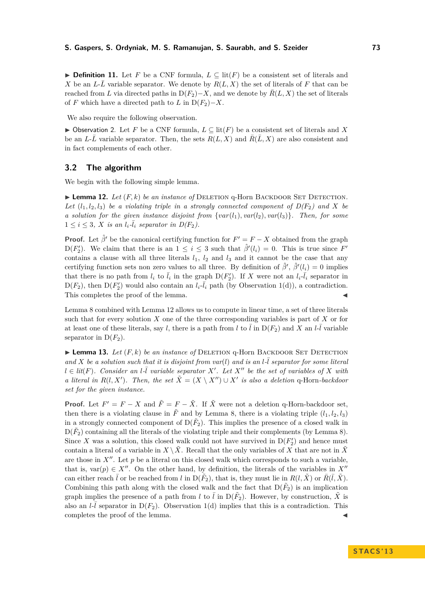**▶ Definition 11.** Let *F* be a CNF formula,  $L \subseteq \text{lit}(F)$  be a consistent set of literals and *X* be an *L*- $\overline{L}$  variable separator. We denote by  $R(L, X)$  the set of literals of *F* that can be reached from *L* via directed paths in  $D(F_2)$ −*X*, and we denote by  $\overline{R}(L, X)$  the set of literals of *F* which have a directed path to *L* in  $D(F_2)-X$ .

We also require the following observation.

<span id="page-6-2"></span>▶ Observation 2. Let *F* be a CNF formula,  $L \subseteq \text{lit}(F)$  be a consistent set of literals and *X* be an *L*- $\overline{L}$  variable separator. Then, the sets  $R(L, X)$  and  $\overline{R}(\overline{L}, X)$  are also consistent and in fact complements of each other.

# **3.2 The algorithm**

We begin with the following simple lemma.

<span id="page-6-0"></span>**Lemma 12.** Let  $(F, k)$  be an instance of DELETION q-Horn BACKDOOR SET DETECTION. Let  $(l_1, l_2, l_3)$  be a violating triple in a strongly connected component of  $D(F_2)$  and X be *a solution for the given instance disjoint from*  $\{var(l_1), var(l_2), var(l_3)\}\$ *. Then, for some*  $1 \leq i \leq 3$ , X is an  $l_i$ - $\overline{l_i}$  separator in  $D(F_2)$ .

**Proof.** Let  $\hat{\beta}'$  be the canonical certifying function for  $F' = F - X$  obtained from the graph  $D(F_2')$ . We claim that there is an  $1 \leq i \leq 3$  such that  $\hat{\beta}'(l_i) = 0$ . This is true since F contains a clause with all three literals  $l_1$ ,  $l_2$  and  $l_3$  and it cannot be the case that any certifying function sets non zero values to all three. By definition of  $\hat{\beta}'$ ,  $\hat{\beta}'(l_i) = 0$  implies that there is no path from  $l_i$  to  $\bar{l}_i$  in the graph  $D(F'_2)$ . If *X* were not an  $l_i$ - $\bar{l}_i$  separator in  $D(F_2)$ , then  $D(F'_2)$  would also contain an  $l_i$ - $\overline{l}_i$  path (by Observation [1\(](#page-5-0)d)), a contradiction. This completes the proof of the lemma.

Lemma [8](#page-5-1) combined with Lemma [12](#page-6-0) allows us to compute in linear time, a set of three literals such that for every solution *X* one of the three corresponding variables is part of *X* or for at least one of these literals, say *l*, there is a path from *l* to  $\bar{l}$  in  $D(F_2)$  and *X* an *l*- $\bar{l}$  variable separator in  $D(F_2)$ .

<span id="page-6-1"></span> $\blacktriangleright$  **Lemma 13.** Let  $(F, k)$  be an instance of DELETION q-Horn BACKDOOR SET DETECTION and *X* be a solution such that it is disjoint from  $var(l)$  and is an  $l$ <sup>- $l$ </sup> separator for some literal  $l \in lit(F)$ . Consider an *l*<sup>-*l*</sup> variable separator  $X'$ . Let  $X''$  be the set of variables of  $X$  with *a literal in*  $R(l, X')$ *. Then, the set*  $\tilde{X} = (X \setminus X'') \cup X'$  *is also a deletion* q-Horn-backdoor *set for the given instance.*

**Proof.** Let  $F' = F - X$  and  $\tilde{F} = F - \tilde{X}$ . If  $\tilde{X}$  were not a deletion q-Horn-backdoor set, then there is a violating clause in  $\tilde{F}$  and by Lemma [8,](#page-5-1) there is a violating triple  $(l_1, l_2, l_3)$ in a strongly connected component of  $D(\tilde{F}_2)$ . This implies the presence of a closed walk in  $D(\tilde{F}_2)$  containing all the literals of the violating triple and their complements (by Lemma [8\)](#page-5-1). Since X was a solution, this closed walk could not have survived in  $D(F_2')$  and hence must contain a literal of a variable in  $X \setminus \tilde{X}$ . Recall that the only variables of *X* that are not in  $\tilde{X}$ are those in  $X''$ . Let  $p$  be a literal on this closed walk which corresponds to such a variable, that is, var $(p) \in X''$ . On the other hand, by definition, the literals of the variables in X'' can either reach  $\bar{l}$  or be reached from *l* in  $D(\tilde{F}_2)$ , that is, they must lie in  $R(l, \tilde{X})$  or  $\bar{R}(\bar{l}, \tilde{X})$ . Combining this path along with the closed walk and the fact that  $D(\tilde{F}_2)$  is an implication graph implies the presence of a path from *l* to  $\overline{l}$  in  $D(\tilde{F}_2)$ . However, by construction,  $\tilde{X}$  is also an  $l$ - $\overline{l}$  separator in D( $F_2$ ). Observation [1\(](#page-5-0)d) implies that this is a contradiction. This completes the proof of the lemma.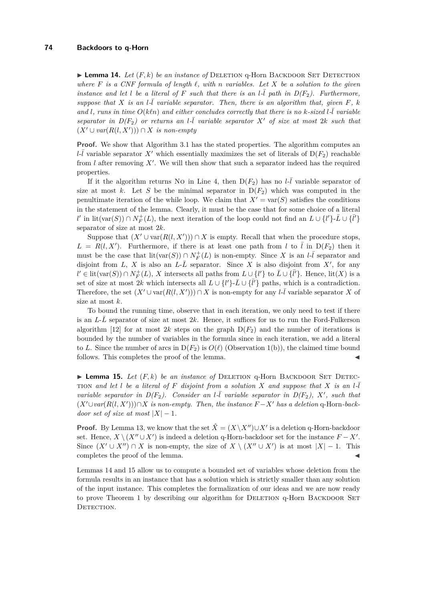<span id="page-7-0"></span> $\blacktriangleright$  **Lemma 14.** Let  $(F, k)$  be an instance of DELETION q-Horn BACKDOOR SET DETECTION *where*  $F$  *is a CNF formula of length*  $\ell$ , with  $n$  *variables. Let*  $X$  *be a solution to the given instance and let l be a literal of*  $F$  *such that there is an l-* $\overline{l}$  *path in D(F<sub>2</sub>). Furthermore, suppose that*  $X$  *is an*  $l$ <sup>*-* $l$ </sup> *variable separator. Then, there is an algorithm that, given*  $F$ *,*  $k$ *and l*, *runs* in time  $O(k\ell n)$  and either concludes correctly that there is no k-sized  $l$ <sup>*-* $\overline{l}$ </sup> *variable*  $s$ *eparator in*  $D(F_2)$  *or returns an*  $l$ <sup>*-* $l$ </sup> *variable separator*  $X'$  *of size at most* 2*k such that*  $(X' \cup \text{var}(R(l, X'))) \cap X$  *is non-empty* 

**Proof.** We show that Algorithm [3.1](#page-8-0) has the stated properties. The algorithm computes an  $l$ - $\bar{l}$  variable separator  $X'$  which essentially maximizes the set of literals of  $D(F_2)$  reachable from  $l$  after removing  $X'$ . We will then show that such a separator indeed has the required properties.

If it the algorithm returns No in Line 4, then  $D(F_2)$  has no  $l$ - $\overline{l}$  variable separator of size at most *k*. Let *S* be the minimal separator in  $D(F_2)$  which was computed in the penultimate iteration of the while loop. We claim that  $X' = \text{var}(S)$  satisfies the conditions in the statement of the lemma. Clearly, it must be the case that for some choice of a literal  $l'$  in lit(var(*S*)) ∩  $N_F^+(L)$ , the next iteration of the loop could not find an  $L \cup \{l'\}$ - $\overline{L} \cup \{\overline{l'}\}$ separator of size at most 2*k*.

Suppose that  $(X' \cup \text{var}(R(l, X'))) \cap X$  is empty. Recall that when the procedure stops,  $L = R(l, X')$ . Furthermore, if there is at least one path from *l* to  $\overline{l}$  in D( $F_2$ ) then it must be the case that  $\text{lit}(\text{var}(S)) \cap N_F^+(L)$  is non-empty. Since X is an  $l$ - $\overline{l}$  separator and disjoint from *L*, *X* is also an *L*- $\overline{L}$  separator. Since *X* is also disjoint from *X'*, for any  $l' \in \text{lit}(\text{var}(S)) \cap N_F^+(L)$ , *X* intersects all paths from  $L \cup \{l'\}$  to  $\overline{L} \cup \{\overline{l'}\}$ . Hence,  $\text{lit}(X)$  is a set of size at most  $2k$  which intersects all  $L \cup \{l'\}\text{-}\overline{L} \cup \{\overline{l'}\}$  paths, which is a contradiction. Therefore, the set  $(X' \cup \text{var}(R(l, X'))) \cap X$  is non-empty for any *l*-*l* variable separator *X* of size at most *k*.

To bound the running time, observe that in each iteration, we only need to test if there is an *L*-*L* separator of size at most 2*k*. Hence, it suffices for us to run the Ford-Fulkerson algorithm [\[12\]](#page-11-16) for at most 2k steps on the graph  $D(F_2)$  and the number of iterations is bounded by the number of variables in the formula since in each iteration, we add a literal to *L*. Since the number of arcs in  $D(F_2)$  is  $O(\ell)$  (Observation [1\(](#page-5-0)b)), the claimed time bound follows. This completes the proof of the lemma.

<span id="page-7-1"></span> $\blacktriangleright$  **Lemma 15.** Let  $(F, k)$  be an instance of DELETION q-Horn BACKDOOR SET DETEC-TION and let *l* be a literal of F disjoint from a solution X and suppose that X is an  $l$ - $\overline{l}$ *variable separator in D(F<sub>2</sub>). Consider an*  $l$ *<sup>-* $l$ *</sup> <i>variable separator in D(F<sub>2</sub>), X', such that*  $(X' \cup var(R(l, X'))) \cap X$  *is non-empty. Then, the instance*  $F - X'$  *has a deletion* q-Horn-back*door set of size at most*  $|X| - 1$ *.* 

**Proof.** By Lemma [13,](#page-6-1) we know that the set  $\hat{X} = (X \setminus X'') \cup X'$  is a deletion q-Horn-backdoor set. Hence,  $X \setminus (X'' \cup X')$  is indeed a deletion q-Horn-backdoor set for the instance  $F - X'$ . Since  $(X' \cup X'') \cap X$  is non-empty, the size of  $X \setminus (X'' \cup X')$  is at most  $|X| - 1$ . This completes the proof of the lemma.

Lemmas [14](#page-7-0) and [15](#page-7-1) allow us to compute a bounded set of variables whose deletion from the formula results in an instance that has a solution which is strictly smaller than any solution of the input instance. This completes the formalization of our ideas and we are now ready to prove Theorem [1](#page-4-0) by describing our algorithm for DELETION q-Horn BACKDOOR SET DETECTION.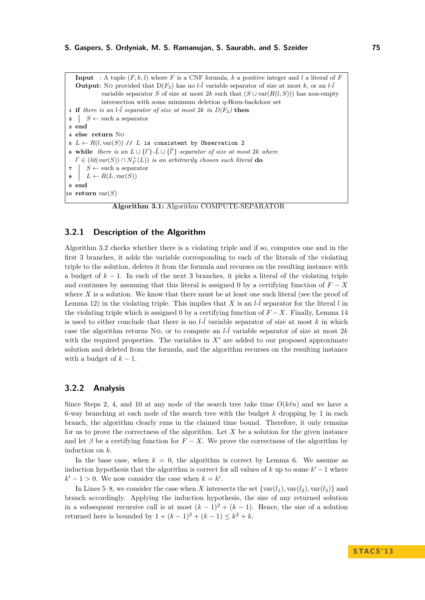**Input** : A tuple  $(F, k, l)$  where *F* is a CNF formula, *k* a positive integer and *l* a literal of *F* **Output**: No provided that  $D(F_2)$  has no *l*-*l* variable separator of size at most *k*, or an *l*-*l* variable separator *S* of size at most 2*k* such that  $(S \cup \text{var}(R(l, S)))$  has non-empty intersection with some minimum deletion q-Horn-backdoor set **1 if** *there is an*  $l$ <sup>*-* $l$ </sup> *separator of size at most* 2*k in*  $D(F_2)$  **then 2**  $S \leftarrow \text{such a separator}$ **<sup>3</sup> end <sup>4</sup> else return** No **5**  $L \leftarrow R(l, \text{var}(S))$  // *L* is consistent by Observation [2](#page-6-2) **6 while** *there is an*  $L \cup \{l'\}$ - $\overline{L} \cup \{\overline{l'}\}$  *separator of size at most* 2*k where*  $d' \in (lit(var(S)) \cap N_F^+(L))$  *is an arbitrarily chosen such literal* **do 7**  $S \leftarrow \text{such a separator}$  $\mathbf{s} \mid L \leftarrow R(L, \text{var}(S))$ **<sup>9</sup> end <sup>10</sup> return** var(*S*)

**Algorithm 3.1:** Algorithm COMPUTE-SEPARATOR

# <span id="page-8-0"></span>**3.2.1 Description of the Algorithm**

Algorithm [3.2](#page-9-0) checks whether there is a violating triple and if so, computes one and in the first 3 branches, it adds the variable corresponding to each of the literals of the violating triple to the solution, deletes it from the formula and recurses on the resulting instance with a budget of  $k-1$ . In each of the next 3 branches, it picks a literal of the violating triple and continues by assuming that this literal is assigned 0 by a certifying function of  $F - X$ where  $X$  is a solution. We know that there must be at least one such literal (see the proof of Lemma [12\)](#page-6-0) in the violating triple. This implies that *X* is an  $l$ - $\overline{l}$  separator for the literal *l* in the violating triple which is assigned 0 by a certifying function of  $F - X$ . Finally, Lemma [14](#page-7-0) is used to either conclude that there is no  $l$ - $\overline{l}$  variable separator of size at most  $k$  in which case the algorithm returns No, or to compute an  $l$ - $\overline{l}$  variable separator of size at most 2*k* with the required properties. The variables in  $X<sup>'</sup>$  are added to our proposed approximate solution and deleted from the formula, and the algorithm recurses on the resulting instance with a budget of  $k-1$ .

# **3.2.2 Analysis**

Since Steps 2, 4, and 10 at any node of the search tree take time  $O(k\ell n)$  and we have a 6-way branching at each node of the search tree with the budget *k* dropping by 1 in each branch, the algorithm clearly runs in the claimed time bound. Therefore, it only remains for us to prove the correctness of the algorithm. Let *X* be a solution for the given instance and let *β* be a certifying function for  $F - X$ . We prove the correctness of the algorithm by induction on *k*.

In the base case, when  $k = 0$ , the algorithm is correct by Lemma [6.](#page-5-2) We assume as induction hypothesis that the algorithm is correct for all values of  $k$  up to some  $k' - 1$  where  $k' - 1 > 0$ . We now consider the case when  $k = k'$ .

In Lines 5–8, we consider the case when *X* intersects the set  $\{var(l_1), var(l_2), var(l_3)\}\$  and branch accordingly. Applying the induction hypothesis, the size of any returned solution in a subsequent recursive call is at most  $(k-1)^2 + (k-1)$ . Hence, the size of a solution returned here is bounded by  $1 + (k - 1)^2 + (k - 1) \leq k^2 + k$ .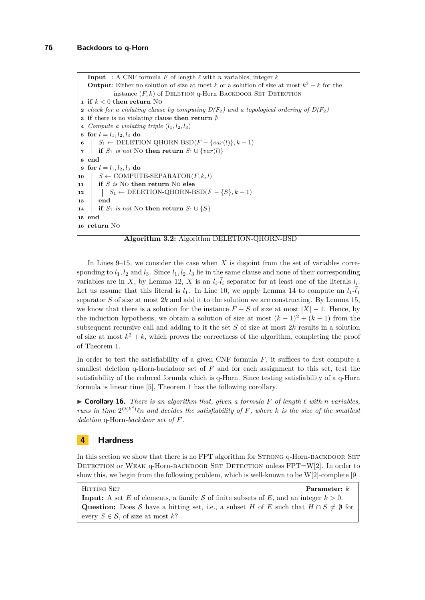**Input** : A CNF formula *F* of length  $\ell$  with *n* variables, integer *k* **Output**: Either no solution of size at most *k* or a solution of size at most  $k^2 + k$  for the instance  $(F, k)$  of DELETION q-Horn BACKDOOR SET DETECTION **if** *k <* 0 **then return** No *check for a violating clause by computing*  $D(F_2)$  *and a topological ordering of*  $D(F_2)$  **if** there is no violating clause **then return** ∅ *Compute a violating triple*  $(l_1, l_2, l_3)$  **for**  $l = l_1, l_2, l_3$  **do**   $\vert$  *S*<sub>1</sub> ← DELETION-QHORN-BSD(*F* – {*var*(*l*)}, *k* – 1) **if**  $S_1$  *is not* No **then return**  $S_1 \cup \{var(l)\}$ **<sup>8</sup> end for**  $l = l_1, l_2, l_3$  **do**  $S \leftarrow \text{COMPUTE-SEPARATOR}(F, k, l)$  **if** *S is* No **then return** No **else** *S*<sup>1</sup> ← DELETION-QHORN-BSD(*F* − {*S*}*, k* − 1) **<sup>13</sup> end**  $\begin{bmatrix} 14 \end{bmatrix}$  **if** *S*<sub>1</sub> *is not* No **then return** *S*<sub>1</sub> ∪ {*S*} **<sup>15</sup> end return** No



<span id="page-9-0"></span>In Lines 9–15, we consider the case when *X* is disjoint from the set of variables corresponding to  $l_1, l_2$  and  $l_3$ . Since  $l_1, l_2, l_3$  lie in the same clause and none of their corresponding variables are in *X*, by Lemma [12,](#page-6-0) *X* is an  $l_i$ - $\overline{l}_i$  separator for at least one of the literals  $l_i$ . Let us assume that this literal is  $l_1$ . In Line 10, we apply Lemma [14](#page-7-0) to compute an  $l_1$ - $\overline{l}_1$ separator *S* of size at most 2*k* and add it to the solution we are constructing. By Lemma [15,](#page-7-1) we know that there is a solution for the instance  $F - S$  of size at most  $|X| - 1$ . Hence, by the induction hypothesis, we obtain a solution of size at most  $(k-1)^2 + (k-1)$  from the subsequent recursive call and adding to it the set *S* of size at most 2*k* results in a solution of size at most  $k^2 + k$ , which proves the correctness of the algorithm, completing the proof of Theorem [1.](#page-4-0)

In order to test the satisfiability of a given CNF formula *F*, it suffices to first compute a smallest deletion q-Horn-backdoor set of *F* and for each assignment to this set, test the satisfiability of the reduced formula which is q-Horn. Since testing satisfiability of a q-Horn formula is linear time [\[5\]](#page-11-7), Theorem [1](#page-4-0) has the following corollary.

<span id="page-9-1"></span> $\triangleright$  **Corollary 16.** *There is an algorithm that, given a formula*  $\boldsymbol{F}$  *of length*  $\ell$  *with n variables, runs in time* 2 *O*(*k* 2 ) *`n and decides the satisfiability of F, where k is the size of the smallest deletion* q-Horn*-backdoor set of F.*

# **4 Hardness**

In this section we show that there is no FPT algorithm for STRONG q-Horn-BACKDOOR SET DETECTION or WEAK q-Horn-BACKDOOR SET DETECTION unless  $FPT=W[2]$ . In order to show this, we begin from the following problem, which is well-known to be W[2]-complete [\[9\]](#page-11-12).

```
Hitting Set Parameter: k
Input: A set E of elements, a family S of finite subsets of E, and an integer k > 0.
Question: Does S have a hitting set, i.e., a subset H of E such that H \cap S \neq \emptyset for
every S \in \mathcal{S}, of size at most k?
```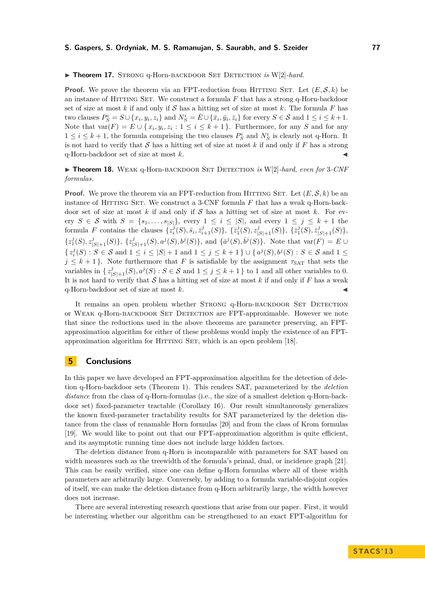#### <span id="page-10-0"></span>▶ Theorem 17. STRONG q-Horn-BACKDOOR SET DETECTION *is* W[2]-hard.

**Proof.** We prove the theorem via an FPT-reduction from HITTING SET. Let  $(E, \mathcal{S}, k)$  be an instance of HITTING SET. We construct a formula F that has a strong q-Horn-backdoor set of size at most  $k$  if and only if  $S$  has a hitting set of size at most  $k$ . The formula  $F$  has two clauses  $P_S^i = S \cup \{x_i, y_i, z_i\}$  and  $N_S^i = \overline{E} \cup \{\overline{x}_i, \overline{y}_i, \overline{z}_i\}$  for every  $S \in \mathcal{S}$  and  $1 \leq i \leq k+1$ . Note that  $\text{var}(F) = E \cup \{x_i, y_i, z_i : 1 \le i \le k+1\}$ . Furthermore, for any *S* and for any  $1 \leq i \leq k+1$ , the formula comprising the two clauses  $P_S^i$  and  $N_S^i$  is clearly not q-Horn. It is not hard to verify that S has a hitting set of size at most *k* if and only if *F* has a strong q-Horn-backdoor set of size at most *k*. J

▶ Theorem 18. WEAK q-Horn-BACKDOOR SET DETECTION *is* W[2]-hard, even for 3-CNF *formulas.*

**Proof.** We prove the theorem via an FPT-reduction from HITTING SET. Let  $(E, \mathcal{S}, k)$  be an instance of HITTING SET. We construct a 3-CNF formula  $F$  that has a weak q-Horn-backdoor set of size at most  $k$  if and only if  $S$  has a hitting set of size at most  $k$ . For every  $S \in \mathcal{S}$  with  $S = \{s_1, \ldots, s_{|S|}\}\$ , every  $1 \leq i \leq |S|$ , and every  $1 \leq j \leq k+1$  the formula F contains the clauses  $\{z_i^j(S), \bar{s}_i, \bar{z}_{i+1}^j(S)\}, \{\bar{z}_1^j(S), z_{|S|+1}^j(S)\}, \{\bar{z}_1^j(S), \bar{z}_{|S|+1}^j(S)\},\$  $\{z_1^j(S), z_{|S|+1}^j(S)\}, \{z_{|S|+1}^j(S), a^j(S), b^j(S)\},\$ and  $\{\bar{a}^j(S), \bar{b}^j(S)\}.$  Note that  $\text{var}(F) = E \cup$  $\{z_i^j(S): S \in \mathcal{S} \text{ and } 1 \le i \le |S| + 1 \text{ and } 1 \le j \le k + 1\}$  ∪  $\{a^j(S), b^j(S): S \in \mathcal{S} \text{ and } 1 \le k \le k + 1\}$  $j \leq k+1$ . Note furthermore that *F* is satisfiable by the assignment  $\tau_{\text{SAT}}$  that sets the variables in  $\{z_{|S|+1}^j(S), a^j(S): S \in \mathcal{S} \text{ and } 1 \leq j \leq k+1\}$  to 1 and all other variables to 0. It is not hard to verify that  $S$  has a hitting set of size at most  $k$  if and only if  $F$  has a weak q-Horn-backdoor set of size at most *k*. J

It remains an open problem whether STRONG q-Horn-BACKDOOR SET DETECTION or Weak q-Horn-backdoor Set Detection are FPT-approximable. However we note that since the reductions used in the above theorems are parameter preserving, an FPTapproximation algorithm for either of these problems would imply the existence of an FPT-approximation algorithm for HITTING SET, which is an open problem [\[18\]](#page-11-17).

## **5 Conclusions**

In this paper we have developed an FPT-approximation algorithm for the detection of deletion q-Horn-backdoor sets (Theorem [1\)](#page-4-0). This renders SAT, parameterized by the *deletion distance* from the class of q-Horn-formulas (i.e., the size of a smallest deletion q-Horn-backdoor set) fixed-parameter tractable (Corollary [16\)](#page-9-1). Our result simultaneously generalizes the known fixed-parameter tractability results for SAT parameterized by the deletion distance from the class of renamable Horn formulas [\[20\]](#page-12-4) and from the class of Krom formulas [\[19\]](#page-12-5). We would like to point out that our FPT-approximation algorithm is quite efficient, and its asymptotic running time does not include large hidden factors.

The deletion distance from q-Horn is incomparable with parameters for SAT based on width measures such as the treewidth of the formula's primal, dual, or incidence graph [\[21\]](#page-12-6). This can be easily verified, since one can define q-Horn formulas where all of these width parameters are arbitrarily large. Conversely, by adding to a formula variable-disjoint copies of itself, we can make the deletion distance from q-Horn arbitrarily large, the width however does not increase.

There are several interesting research questions that arise from our paper. First, it would be interesting whether our algorithm can be strengthened to an exact FPT-algorithm for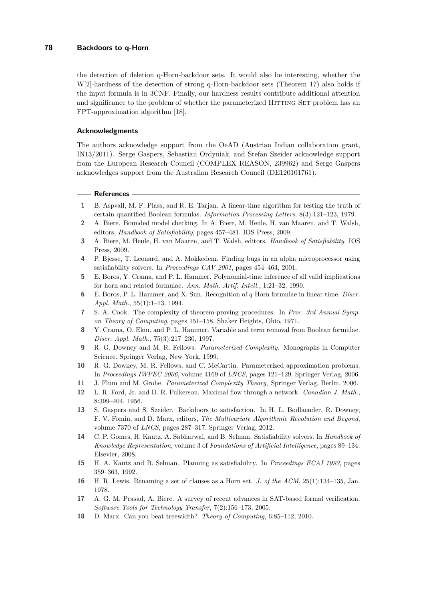the detection of deletion q-Horn-backdoor sets. It would also be interesting, whether the W[2]-hardness of the detection of strong q-Horn-backdoor sets (Theorem [17\)](#page-10-0) also holds if the input formula is in 3CNF. Finally, our hardness results contribute additional attention and significance to the problem of whether the parameterized HITTING SET problem has an FPT-approximation algorithm [\[18\]](#page-11-17).

#### **Acknowledgments**

The authors acknowledge support from the OeAD (Austrian Indian collaboration grant, IN13/2011). Serge Gaspers, Sebastian Ordyniak, and Stefan Szeider acknowledge support from the European Research Council (COMPLEX REASON, 239962) and Serge Gaspers acknowledges support from the Australian Research Council (DE120101761).

#### **References**

- <span id="page-11-10"></span>**1** B. Aspvall, M. F. Plass, and R. E. Tarjan. A linear-time algorithm for testing the truth of certain quantified Boolean formulas. *Information Processing Letters*, 8(3):121–123, 1979.
- <span id="page-11-1"></span>**2** A. Biere. Bounded model checking. In A. Biere, M. Heule, H. van Maaren, and T. Walsh, editors, *Handbook of Satisfiability*, pages 457–481. IOS Press, 2009.
- <span id="page-11-0"></span>**3** A. Biere, M. Heule, H. van Maaren, and T. Walsh, editors. *Handbook of Satisfiability*. IOS Press, 2009.
- <span id="page-11-2"></span>**4** P. Bjesse, T. Leonard, and A. Mokkedem. Finding bugs in an alpha microprocessor using satisfiability solvers. In *Proceedings CAV 2001*, pages 454–464, 2001.
- <span id="page-11-7"></span>**5** E. Boros, Y. Crama, and P. L. Hammer. Polynomial-time inference of all valid implications for horn and related formulae. *Ann. Math. Artif. Intell.*, 1:21–32, 1990.
- <span id="page-11-8"></span>**6** E. Boros, P. L. Hammer, and X. Sun. Recognition of *q*-Horn formulae in linear time. *Discr. Appl. Math.*, 55(1):1–13, 1994.
- <span id="page-11-5"></span>**7** S. A. Cook. The complexity of theorem-proving procedures. In *Proc. 3rd Annual Symp. on Theory of Computing*, pages 151–158, Shaker Heights, Ohio, 1971.
- <span id="page-11-15"></span>**8** Y. Crama, O. Ekin, and P. L. Hammer. Variable and term removal from Boolean formulae. *Discr. Appl. Math.*, 75(3):217–230, 1997.
- <span id="page-11-12"></span>**9** R. G. Downey and M. R. Fellows. *Parameterized Complexity*. Monographs in Computer Science. Springer Verlag, New York, 1999.
- <span id="page-11-14"></span>**10** R. G. Downey, M. R. Fellows, and C. McCartin. Parameterized approximation problems. In *Proceedings IWPEC 2006*, volume 4169 of *LNCS*, pages 121–129. Springer Verlag, 2006.
- <span id="page-11-13"></span>**11** J. Flum and M. Grohe. *Parameterized Complexity Theory*, Springer Verlag, Berlin, 2006.
- <span id="page-11-16"></span>**12** L. R. Ford, Jr. and D. R. Fulkerson. Maximal flow through a network. *Canadian J. Math.*, 8:399–404, 1956.
- <span id="page-11-11"></span>**13** S. Gaspers and S. Szeider. Backdoors to satisfaction. In H. L. Bodlaender, R. Downey, F. V. Fomin, and D. Marx, editors, *The Multivariate Algorithmic Revolution and Beyond*, volume 7370 of *LNCS*, pages 287–317. Springer Verlag, 2012.
- <span id="page-11-6"></span>**14** C. P. Gomes, H. Kautz, A. Sabharwal, and B. Selman. Satisfiability solvers. In *Handbook of Knowledge Representation*, volume 3 of *Foundations of Artificial Intelligence*, pages 89–134. Elsevier, 2008.
- <span id="page-11-3"></span>**15** H. A. Kautz and B. Selman. Planning as satisfiability. In *Proceedings ECAI 1992*, pages 359–363, 1992.
- <span id="page-11-9"></span>**16** H. R. Lewis. Renaming a set of clauses as a Horn set. *J. of the ACM*, 25(1):134–135, Jan. 1978.
- <span id="page-11-4"></span>**17** A. G. M. Prasad, A. Biere. A survey of recent advances in SAT-based formal verification. *Software Tools for Technology Transfer*, 7(2):156–173, 2005.
- <span id="page-11-17"></span>**18** D. Marx. Can you beat treewidth? *Theory of Computing*, 6:85–112, 2010.